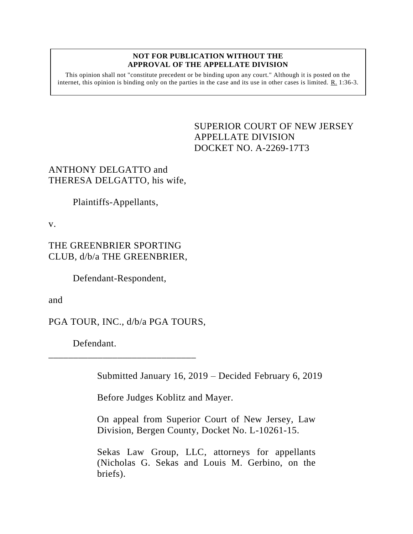## **NOT FOR PUBLICATION WITHOUT THE APPROVAL OF THE APPELLATE DIVISION**

This opinion shall not "constitute precedent or be binding upon any court." Although it is posted on the internet, this opinion is binding only on the parties in the case and its use in other cases is limited. R. 1:36-3.

> SUPERIOR COURT OF NEW JERSEY APPELLATE DIVISION DOCKET NO. A-2269-17T3

## ANTHONY DELGATTO and THERESA DELGATTO, his wife,

Plaintiffs-Appellants,

v.

## THE GREENBRIER SPORTING CLUB, d/b/a THE GREENBRIER,

Defendant-Respondent,

and

PGA TOUR, INC., d/b/a PGA TOURS,

\_\_\_\_\_\_\_\_\_\_\_\_\_\_\_\_\_\_\_\_\_\_\_\_\_\_\_\_\_\_

Defendant.

Submitted January 16, 2019 – Decided February 6, 2019

Before Judges Koblitz and Mayer.

On appeal from Superior Court of New Jersey, Law Division, Bergen County, Docket No. L-10261-15.

Sekas Law Group, LLC, attorneys for appellants (Nicholas G. Sekas and Louis M. Gerbino, on the briefs).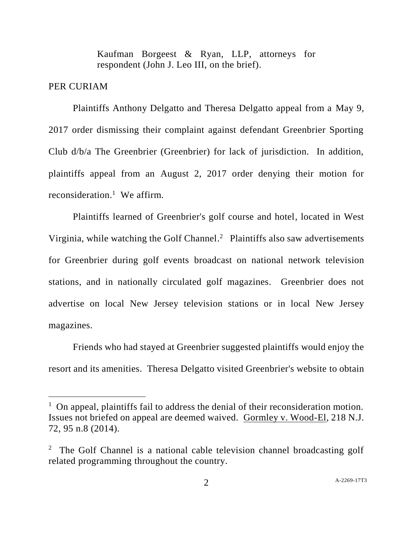Kaufman Borgeest & Ryan, LLP, attorneys for respondent (John J. Leo III, on the brief).

## PER CURIAM

l

Plaintiffs Anthony Delgatto and Theresa Delgatto appeal from a May 9, 2017 order dismissing their complaint against defendant Greenbrier Sporting Club d/b/a The Greenbrier (Greenbrier) for lack of jurisdiction. In addition, plaintiffs appeal from an August 2, 2017 order denying their motion for reconsideration.<sup>1</sup> We affirm.

Plaintiffs learned of Greenbrier's golf course and hotel, located in West Virginia, while watching the Golf Channel. 2 Plaintiffs also saw advertisements for Greenbrier during golf events broadcast on national network television stations, and in nationally circulated golf magazines. Greenbrier does not advertise on local New Jersey television stations or in local New Jersey magazines.

Friends who had stayed at Greenbrier suggested plaintiffs would enjoy the resort and its amenities. Theresa Delgatto visited Greenbrier's website to obtain

<sup>&</sup>lt;sup>1</sup> On appeal, plaintiffs fail to address the denial of their reconsideration motion. Issues not briefed on appeal are deemed waived. Gormley v. Wood-El, 218 N.J. 72, 95 n.8 (2014).

<sup>&</sup>lt;sup>2</sup> The Golf Channel is a national cable television channel broadcasting golf related programming throughout the country.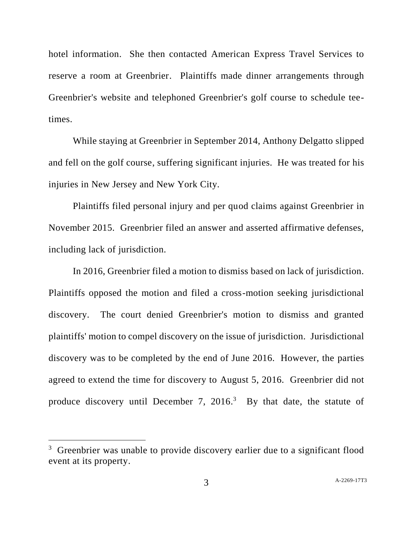hotel information. She then contacted American Express Travel Services to reserve a room at Greenbrier. Plaintiffs made dinner arrangements through Greenbrier's website and telephoned Greenbrier's golf course to schedule teetimes.

While staying at Greenbrier in September 2014, Anthony Delgatto slipped and fell on the golf course, suffering significant injuries. He was treated for his injuries in New Jersey and New York City.

Plaintiffs filed personal injury and per quod claims against Greenbrier in November 2015. Greenbrier filed an answer and asserted affirmative defenses, including lack of jurisdiction.

In 2016, Greenbrier filed a motion to dismiss based on lack of jurisdiction. Plaintiffs opposed the motion and filed a cross-motion seeking jurisdictional discovery. The court denied Greenbrier's motion to dismiss and granted plaintiffs' motion to compel discovery on the issue of jurisdiction. Jurisdictional discovery was to be completed by the end of June 2016. However, the parties agreed to extend the time for discovery to August 5, 2016. Greenbrier did not produce discovery until December 7, 2016.<sup>3</sup> By that date, the statute of

l

<sup>&</sup>lt;sup>3</sup> Greenbrier was unable to provide discovery earlier due to a significant flood event at its property.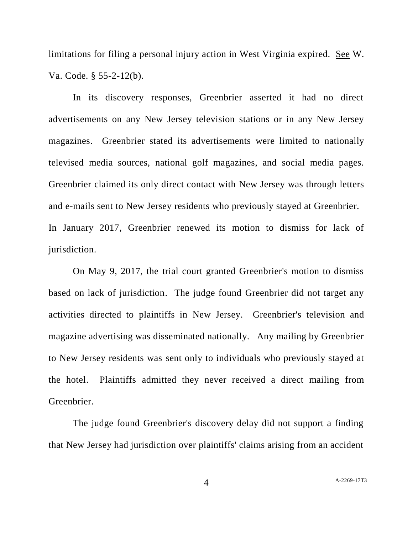limitations for filing a personal injury action in West Virginia expired. See W. Va. Code. § 55-2-12(b).

In its discovery responses, Greenbrier asserted it had no direct advertisements on any New Jersey television stations or in any New Jersey magazines. Greenbrier stated its advertisements were limited to nationally televised media sources, national golf magazines, and social media pages. Greenbrier claimed its only direct contact with New Jersey was through letters and e-mails sent to New Jersey residents who previously stayed at Greenbrier. In January 2017, Greenbrier renewed its motion to dismiss for lack of jurisdiction.

On May 9, 2017, the trial court granted Greenbrier's motion to dismiss based on lack of jurisdiction. The judge found Greenbrier did not target any activities directed to plaintiffs in New Jersey. Greenbrier's television and magazine advertising was disseminated nationally. Any mailing by Greenbrier to New Jersey residents was sent only to individuals who previously stayed at the hotel. Plaintiffs admitted they never received a direct mailing from Greenbrier.

The judge found Greenbrier's discovery delay did not support a finding that New Jersey had jurisdiction over plaintiffs' claims arising from an accident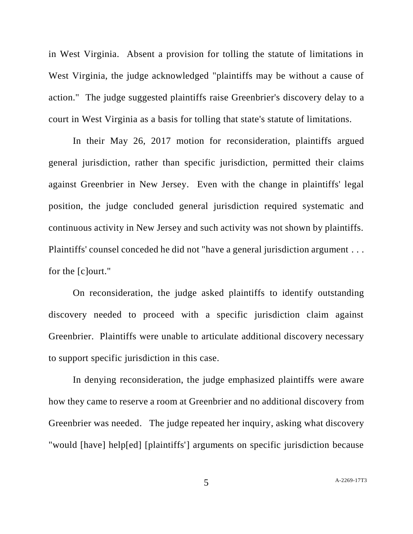in West Virginia. Absent a provision for tolling the statute of limitations in West Virginia, the judge acknowledged "plaintiffs may be without a cause of action." The judge suggested plaintiffs raise Greenbrier's discovery delay to a court in West Virginia as a basis for tolling that state's statute of limitations.

In their May 26, 2017 motion for reconsideration, plaintiffs argued general jurisdiction, rather than specific jurisdiction, permitted their claims against Greenbrier in New Jersey. Even with the change in plaintiffs' legal position, the judge concluded general jurisdiction required systematic and continuous activity in New Jersey and such activity was not shown by plaintiffs. Plaintiffs' counsel conceded he did not "have a general jurisdiction argument . . . for the [c]ourt."

On reconsideration, the judge asked plaintiffs to identify outstanding discovery needed to proceed with a specific jurisdiction claim against Greenbrier. Plaintiffs were unable to articulate additional discovery necessary to support specific jurisdiction in this case.

In denying reconsideration, the judge emphasized plaintiffs were aware how they came to reserve a room at Greenbrier and no additional discovery from Greenbrier was needed. The judge repeated her inquiry, asking what discovery "would [have] help[ed] [plaintiffs'] arguments on specific jurisdiction because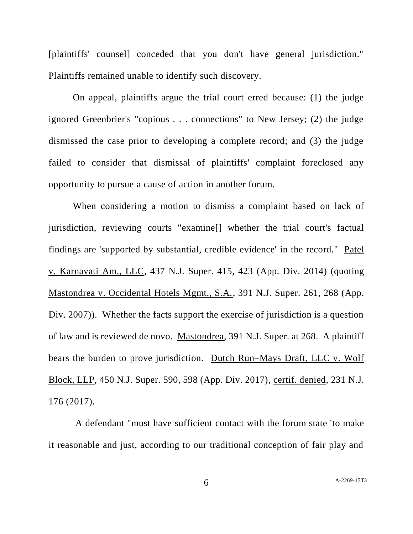[plaintiffs' counsel] conceded that you don't have general jurisdiction." Plaintiffs remained unable to identify such discovery.

On appeal, plaintiffs argue the trial court erred because: (1) the judge ignored Greenbrier's "copious . . . connections" to New Jersey; (2) the judge dismissed the case prior to developing a complete record; and (3) the judge failed to consider that dismissal of plaintiffs' complaint foreclosed any opportunity to pursue a cause of action in another forum.

When considering a motion to dismiss a complaint based on lack of jurisdiction, reviewing courts "examine[] whether the trial court's factual findings are 'supported by substantial, credible evidence' in the record." Patel v. Karnavati Am., LLC, 437 N.J. Super. 415, 423 (App. Div. 2014) (quoting Mastondrea v. Occidental Hotels Mgmt., S.A., 391 N.J. Super. 261, 268 (App. Div. 2007)). Whether the facts support the exercise of jurisdiction is a question of law and is reviewed de novo. Mastondrea, 391 N.J. Super. at 268. A plaintiff bears the burden to prove jurisdiction. Dutch Run–Mays Draft, LLC v. Wolf Block, LLP, 450 N.J. Super. 590, 598 (App. Div. 2017), certif. denied, 231 N.J. 176 (2017).

A defendant "must have sufficient contact with the forum state 'to make it reasonable and just, according to our traditional conception of fair play and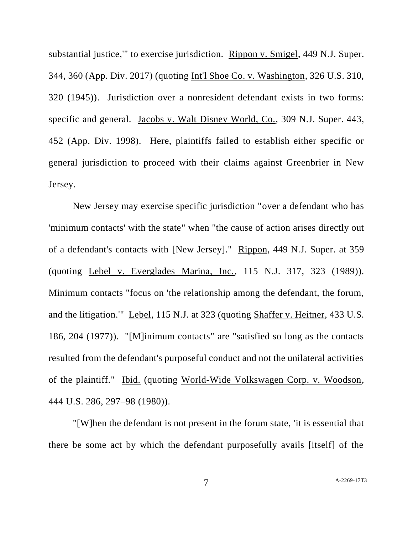substantial justice,'" to exercise jurisdiction. Rippon v. Smigel, 449 N.J. Super. 344, 360 (App. Div. 2017) (quoting Int'l Shoe Co. v. Washington, 326 U.S. 310, 320 (1945)). Jurisdiction over a nonresident defendant exists in two forms: specific and general. Jacobs v. Walt Disney World, Co., 309 N.J. Super. 443, 452 (App. Div. 1998). Here, plaintiffs failed to establish either specific or general jurisdiction to proceed with their claims against Greenbrier in New Jersey.

New Jersey may exercise specific jurisdiction "over a defendant who has 'minimum contacts' with the state" when "the cause of action arises directly out of a defendant's contacts with [New Jersey]." Rippon, 449 N.J. Super. at 359 (quoting Lebel v. Everglades Marina, Inc., 115 N.J. 317, 323 (1989)). Minimum contacts "focus on 'the relationship among the defendant, the forum, and the litigation.'" Lebel, 115 N.J. at 323 (quoting Shaffer v. Heitner, 433 U.S. 186, 204 (1977)). "[M]inimum contacts" are "satisfied so long as the contacts resulted from the defendant's purposeful conduct and not the unilateral activities of the plaintiff." Ibid. (quoting World-Wide Volkswagen Corp. v. Woodson, 444 U.S. 286, 297–98 (1980)).

"[W]hen the defendant is not present in the forum state, 'it is essential that there be some act by which the defendant purposefully avails [itself] of the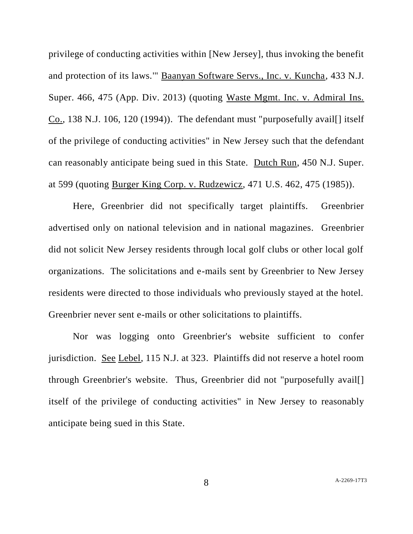privilege of conducting activities within [New Jersey], thus invoking the benefit and protection of its laws.'" Baanyan Software Servs., Inc. v. Kuncha, 433 N.J. Super. 466, 475 (App. Div. 2013) (quoting Waste Mgmt. Inc. v. Admiral Ins. Co., 138 N.J. 106, 120 (1994)). The defendant must "purposefully avail[] itself of the privilege of conducting activities" in New Jersey such that the defendant can reasonably anticipate being sued in this State. Dutch Run, 450 N.J. Super. at 599 (quoting Burger King Corp. v. Rudzewicz, 471 U.S. 462, 475 (1985)).

Here, Greenbrier did not specifically target plaintiffs. Greenbrier advertised only on national television and in national magazines. Greenbrier did not solicit New Jersey residents through local golf clubs or other local golf organizations. The solicitations and e-mails sent by Greenbrier to New Jersey residents were directed to those individuals who previously stayed at the hotel. Greenbrier never sent e-mails or other solicitations to plaintiffs.

Nor was logging onto Greenbrier's website sufficient to confer jurisdiction. See Lebel, 115 N.J. at 323. Plaintiffs did not reserve a hotel room through Greenbrier's website. Thus, Greenbrier did not "purposefully avail[] itself of the privilege of conducting activities" in New Jersey to reasonably anticipate being sued in this State.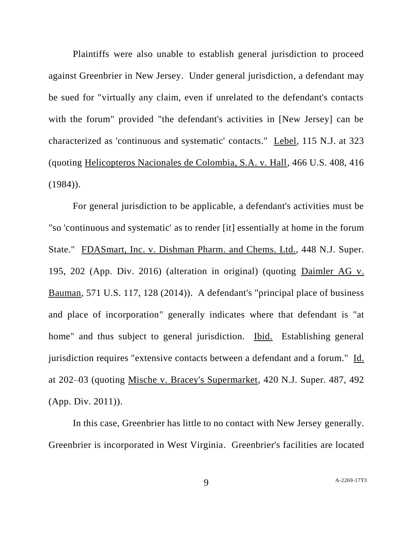Plaintiffs were also unable to establish general jurisdiction to proceed against Greenbrier in New Jersey. Under general jurisdiction, a defendant may be sued for "virtually any claim, even if unrelated to the defendant's contacts with the forum" provided "the defendant's activities in [New Jersey] can be characterized as 'continuous and systematic' contacts." Lebel, 115 N.J. at 323 (quoting Helicopteros Nacionales de Colombia, S.A. v. Hall, 466 U.S. 408, 416  $(1984)$ .

For general jurisdiction to be applicable, a defendant's activities must be "so 'continuous and systematic' as to render [it] essentially at home in the forum State." FDASmart, Inc. v. Dishman Pharm. and Chems. Ltd., 448 N.J. Super. 195, 202 (App. Div. 2016) (alteration in original) (quoting Daimler AG v. Bauman, 571 U.S. 117, 128 (2014)). A defendant's "principal place of business and place of incorporation" generally indicates where that defendant is "at home" and thus subject to general jurisdiction. Ibid. Establishing general jurisdiction requires "extensive contacts between a defendant and a forum." Id. at 202–03 (quoting Mische v. Bracey's Supermarket, 420 N.J. Super. 487, 492 (App. Div. 2011)).

In this case, Greenbrier has little to no contact with New Jersey generally. Greenbrier is incorporated in West Virginia. Greenbrier's facilities are located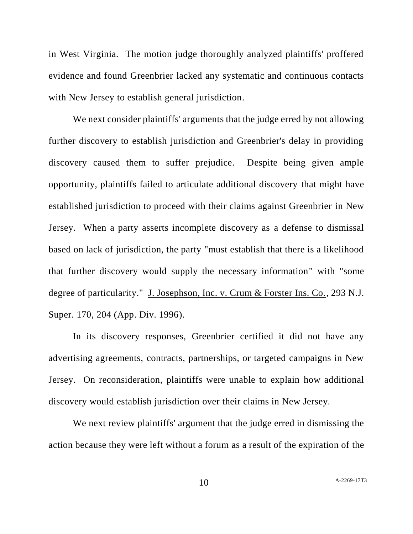in West Virginia. The motion judge thoroughly analyzed plaintiffs' proffered evidence and found Greenbrier lacked any systematic and continuous contacts with New Jersey to establish general jurisdiction.

We next consider plaintiffs' arguments that the judge erred by not allowing further discovery to establish jurisdiction and Greenbrier's delay in providing discovery caused them to suffer prejudice. Despite being given ample opportunity, plaintiffs failed to articulate additional discovery that might have established jurisdiction to proceed with their claims against Greenbrier in New Jersey. When a party asserts incomplete discovery as a defense to dismissal based on lack of jurisdiction, the party "must establish that there is a likelihood that further discovery would supply the necessary information" with "some degree of particularity." J. Josephson, Inc. v. Crum & Forster Ins. Co., 293 N.J. Super. 170, 204 (App. Div. 1996).

In its discovery responses, Greenbrier certified it did not have any advertising agreements, contracts, partnerships, or targeted campaigns in New Jersey. On reconsideration, plaintiffs were unable to explain how additional discovery would establish jurisdiction over their claims in New Jersey.

We next review plaintiffs' argument that the judge erred in dismissing the action because they were left without a forum as a result of the expiration of the